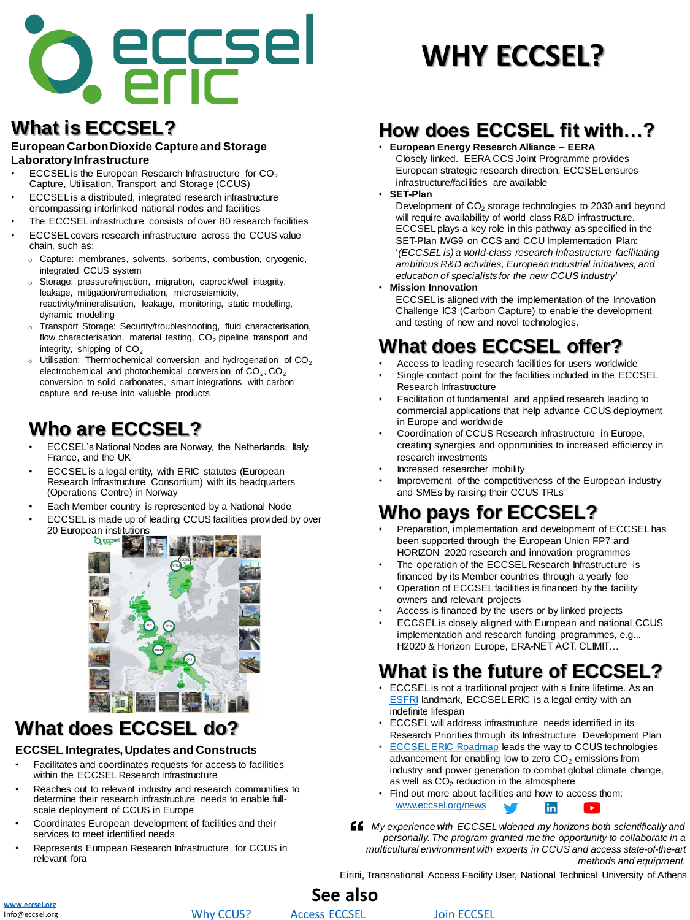# **What is ECCSEL?**

#### **European Carbon Dioxide Capture and Storage Laboratory Infrastructure**

- $\mathsf{ECCSEL}$  is the European Research Infrastructure for  $\mathsf{CO}_2$ Capture, Utilisation, Transport and Storage (CCUS)
- ECCSEL is a distributed, integrated research infrastructure encompassing interlinked national nodes and facilities
- The ECCSEL infrastructure consists of over 80 research facilities
- ECCSEL covers research infrastructure across the CCUS value chain, such as:
- o Capture: membranes, solvents, sorbents, combustion, cryogenic, integrated CCUS system
- o Storage: pressure/injection, migration, caprock/well integrity, leakage, mitigation/remediation, microseismicity, reactivity/mineralisation, leakage, monitoring, static modelling, dynamic modelling
- o Transport Storage: Security/troubleshooting, fluid characterisation, flow characterisation, material testing,  $CO<sub>2</sub>$  pipeline transport and integrity, shipping of  $CO<sub>2</sub>$
- $\circ$  Utilisation: Thermochemical conversion and hydrogenation of CO<sub>2</sub> electrochemical and photochemical conversion of  $CO_2$ ,  $CO_2$ conversion to solid carbonates, smart integrations with carbon capture and re-use into valuable products

## **Who are ECCSEL?**

- ECCSEL's National Nodes are Norway, the Netherlands, Italy, France, and the UK
- ECCSEL is a legal entity, with ERIC statutes (European Research Infrastructure Consortium) with its headquarters (Operations Centre) in Norway
- Each Member country is represented by a National Node
- ECCSEL is made up of leading CCUS facilities provided by over 20 European institutions



**See also**



**[www.eccsel.org](http://www.eccsel.org/)** info@eccsel.org

# **What does ECCSEL offer?**

- Access to leading research facilities for users worldwide
- Single contact point for the facilities included in the ECCSEL Research Infrastructure
- Facilitation of fundamental and applied research leading to commercial applications that help advance CCUS deployment in Europe and worldwide
- Coordination of CCUS Research Infrastructure in Europe, creating synergies and opportunities to increased efficiency in research investments
- Increased researcher mobility
- Improvement of the competitiveness of the European industry and SMEs by raising their CCUS TRLs

Development of  $CO<sub>2</sub>$  storage technologies to 2030 and beyond will require availability of world class R&D infrastructure. ECCSEL plays a key role in this pathway as specified in the SET-Plan IWG9 on CCS and CCU Implementation Plan: '*(ECCSEL is) a world-class research infrastructure facilitating ambitious R&D activities, European industrial initiatives, and education of specialists for the new CCUS industry'*

# **Who pays for ECCSEL?**

- Preparation, implementation and development of ECCSEL has been supported through the European Union FP7 and HORIZON 2020 research and innovation programmes
- The operation of the ECCSEL Research Infrastructure is financed by its Member countries through a yearly fee
- Operation of ECCSEL facilities is financed by the facility owners and relevant projects
- Access is financed by the users or by linked projects
- ECCSEL is closely aligned with European and national CCUS implementation and research funding programmes, e.g.,. H2020 & Horizon Europe, ERA-NET ACT, CLIMIT…

# **What is the future of ECCSEL?**

- ECCSEL is not a traditional project with a finite lifetime. As an **[ESFRI](https://www.esfri.eu/) landmark, ECCSEL ERIC is a legal entity with an** indefinite lifespan
- ECCSEL will address infrastructure needs identified in its

### **How does ECCSEL fit with…?**

- **European Energy Research Alliance – EERA** Closely linked. EERA CCS Joint Programme provides European strategic research direction, ECCSEL ensures infrastructure/facilities are available
- **SET-Plan**

- Research Priorities through its Infrastructure Development Plan **ECCSELERIC Roadmap leads the way to CCUS technologies** advancement for enabling low to zero  $CO<sub>2</sub>$  emissions from industry and power generation to combat global climate change, as well as  $CO<sub>2</sub>$  reduction in the atmosphere
- Find out more about facilities and how to access them: [www.eccsel.org/news](http://www.eccsel.org/news) in  $\blacktriangleright$
- *My experience with ECCSEL widened my horizons both scientifically and personally. The program granted me the opportunity to collaborate in a multicultural environment with experts in CCUS and access state-of-the-art methods and equipment.*

• **Mission Innovation**

ECCSEL is aligned with the implementation of the Innovation Challenge IC3 (Carbon Capture) to enable the development and testing of new and novel technologies.

### **What does ECCSEL do?**

#### **ECCSEL Integrates, Updates and Constructs**

- Facilitates and coordinates requests for access to facilities within the ECCSEL Research Infrastructure
- Reaches out to relevant industry and research communities to determine their research infrastructure needs to enable fullscale deployment of CCUS in Europe
- Coordinates European development of facilities and their services to meet identified needs
- Represents European Research Infrastructure for CCUS in relevant fora



# **WHY ECCSEL?**

Eirini, Transnational Access Facility User, National Technical University of Athens